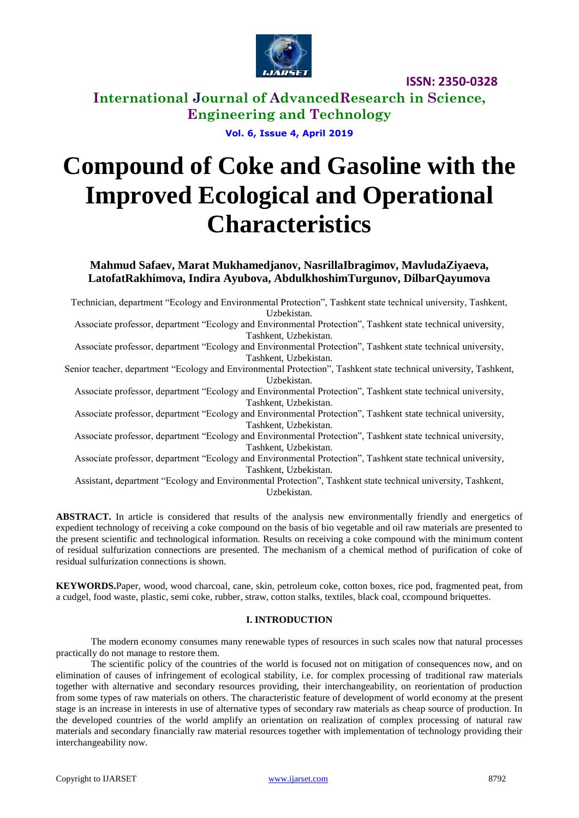

**International Journal of AdvancedResearch in Science, Engineering and Technology**

**Vol. 6, Issue 4, April 2019**

# **Compound of Coke and Gasoline with the Improved Ecological and Operational Characteristics**

**Mahmud Safaev, Marat Mukhamedjanov, NasrillaIbragimov, MavludaZiyaeva, LatofatRakhimova, Indira Ayubova, AbdulkhoshimTurgunov, DilbarQayumova**

Technician, department "Ecology and Environmental Protection", Tashkent state technical university, Tashkent, Uzbekistan.

Associate professor, department "Ecology and Environmental Protection", Tashkent state technical university, Tashkent, Uzbekistan.

Associate professor, department "Ecology and Environmental Protection", Tashkent state technical university, Tashkent, Uzbekistan.

Senior teacher, department "Ecology and Environmental Protection", Tashkent state technical university, Tashkent, Uzbekistan.

Associate professor, department "Ecology and Environmental Protection", Tashkent state technical university, Tashkent, Uzbekistan.

Associate professor, department "Ecology and Environmental Protection", Tashkent state technical university, Tashkent, Uzbekistan.

Associate professor, department "Ecology and Environmental Protection", Tashkent state technical university, Tashkent, Uzbekistan.

Associate professor, department "Ecology and Environmental Protection", Tashkent state technical university, Tashkent, Uzbekistan.

Assistant, department "Ecology and Environmental Protection", Tashkent state technical university, Tashkent, Uzbekistan.

**ABSTRACT.** In article is considered that results of the analysis new environmentally friendly and energetics of expedient technology of receiving a coke compound on the basis of bio vegetable and oil raw materials are presented to the present scientific and technological information. Results on receiving a coke compound with the minimum content of residual sulfurization connections are presented. The mechanism of a chemical method of purification of coke of residual sulfurization connections is shown.

**KEYWORDS.**Paper, wood, wood charcoal, cane, skin, petroleum coke, cotton boxes, rice pod, fragmented peat, from a cudgel, food waste, plastic, semi coke, rubber, straw, cotton stalks, textiles, black coal, ccompound briquettes.

#### **I. INTRODUCTION**

The modern economy consumes many renewable types of resources in such scales now that natural processes practically do not manage to restore them.

The scientific policy of the countries of the world is focused not on mitigation of consequences now, and on elimination of causes of infringement of ecological stability, i.e. for complex processing of traditional raw materials together with alternative and secondary resources providing, their interchangeability, on reorientation of production from some types of raw materials on others. The characteristic feature of development of world economy at the present stage is an increase in interests in use of alternative types of secondary raw materials as cheap source of production. In the developed countries of the world amplify an orientation on realization of complex processing of natural raw materials and secondary financially raw material resources together with implementation of technology providing their interchangeability now.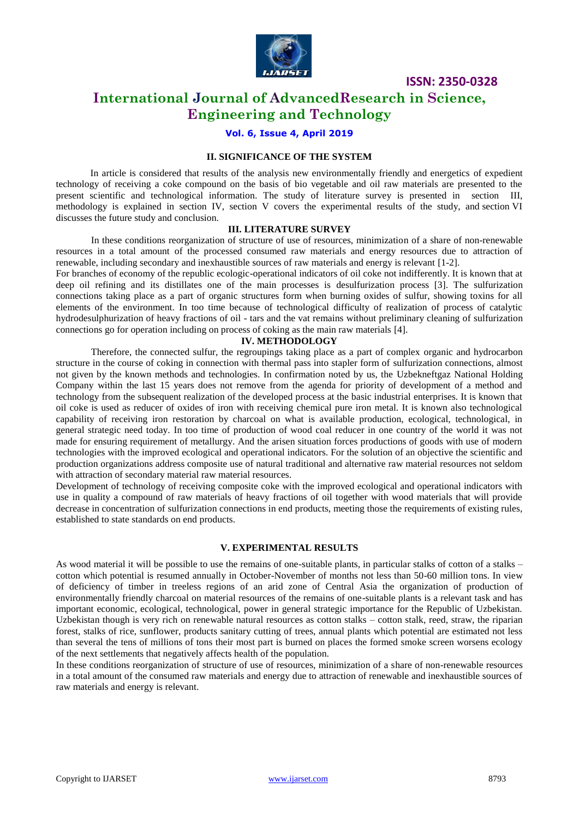

# **International Journal of AdvancedResearch in Science, Engineering and Technology**

## **Vol. 6, Issue 4, April 2019**

## **II. SIGNIFICANCE OF THE SYSTEM**

In article is considered that results of the analysis new environmentally friendly and energetics of expedient technology of receiving a coke compound on the basis of bio vegetable and oil raw materials are presented to the present scientific and technological information. The study of literature survey is presented in section III, methodology is explained in section IV, section V covers the experimental results of the study, and section VI discusses the future study and conclusion.

#### **III. LITERATURE SURVEY**

In these conditions reorganization of structure of use of resources, minimization of a share of non-renewable resources in a total amount of the processed consumed raw materials and energy resources due to attraction of renewable, including secondary and inexhaustible sources of raw materials and energy is relevant [1-2].

For branches of economy of the republic ecologic-operational indicators of oil coke not indifferently. It is known that at deep oil refining and its distillates one of the main processes is desulfurization process [3]. The sulfurization connections taking place as a part of organic structures form when burning oxides of sulfur, showing toxins for all elements of the environment. In too time because of technological difficulty of realization of process of catalytic hydrodesulphurization of heavy fractions of oil - tars and the vat remains without preliminary cleaning of sulfurization connections go for operation including on process of coking as the main raw materials [4].

#### **IV. METHODOLOGY**

Therefore, the connected sulfur, the regroupings taking place as a part of complex organic and hydrocarbon structure in the course of coking in connection with thermal pass into stapler form of sulfurization connections, almost not given by the known methods and technologies. In confirmation noted by us, the Uzbekneftgaz National Holding Company within the last 15 years does not remove from the agenda for priority of development of a method and technology from the subsequent realization of the developed process at the basic industrial enterprises. It is known that oil coke is used as reducer of oxides of iron with receiving chemical pure iron metal. It is known also technological capability of receiving iron restoration by charcoal on what is available production, ecological, technological, in general strategic need today. In too time of production of wood coal reducer in one country of the world it was not made for ensuring requirement of metallurgy. And the arisen situation forces productions of goods with use of modern technologies with the improved ecological and operational indicators. For the solution of an objective the scientific and production organizations address composite use of natural traditional and alternative raw material resources not seldom with attraction of secondary material raw material resources.

Development of technology of receiving composite coke with the improved ecological and operational indicators with use in quality a compound of raw materials of heavy fractions of oil together with wood materials that will provide decrease in concentration of sulfurization connections in end products, meeting those the requirements of existing rules, established to state standards on end products.

#### **V. EXPERIMENTAL RESULTS**

As wood material it will be possible to use the remains of one-suitable plants, in particular stalks of cotton of a stalks – cotton which potential is resumed annually in October-November of months not less than 50-60 million tons. In view of deficiency of timber in treeless regions of an arid zone of Central Asia the organization of production of environmentally friendly charcoal on material resources of the remains of one-suitable plants is a relevant task and has important economic, ecological, technological, power in general strategic importance for the Republic of Uzbekistan. Uzbekistan though is very rich on renewable natural resources as cotton stalks – cotton stalk, reed, straw, the riparian forest, stalks of rice, sunflower, products sanitary cutting of trees, annual plants which potential are estimated not less than several the tens of millions of tons their most part is burned on places the formed smoke screen worsens ecology of the next settlements that negatively affects health of the population.

In these conditions reorganization of structure of use of resources, minimization of a share of non-renewable resources in a total amount of the consumed raw materials and energy due to attraction of renewable and inexhaustible sources of raw materials and energy is relevant.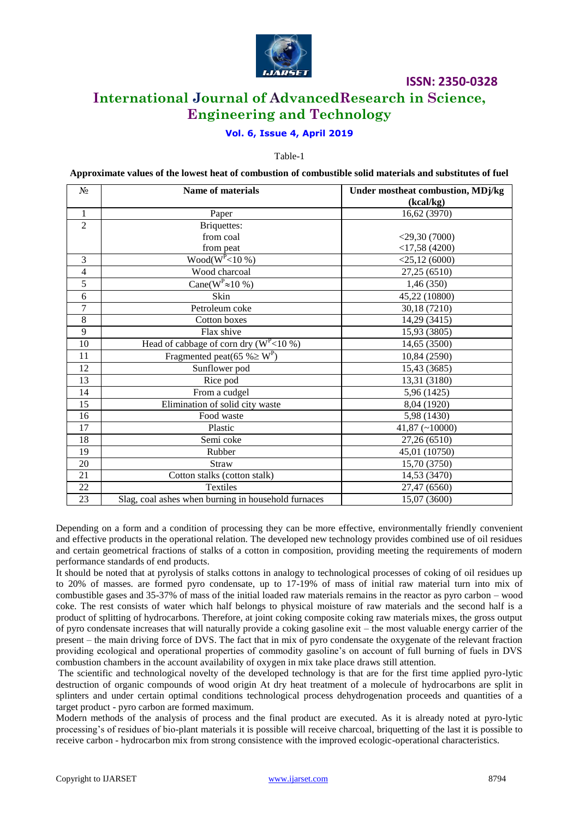

# **International Journal of AdvancedResearch in Science, Engineering and Technology**

## **Vol. 6, Issue 4, April 2019**

Table-1

**Approximate values of the lowest heat of combustion of combustible solid materials and substitutes of fuel**

| $N_2$          | <b>Name of materials</b>                            | Under mostheat combustion, MDj/kg |
|----------------|-----------------------------------------------------|-----------------------------------|
|                |                                                     | (kcal/kg)                         |
| $\mathbf{1}$   | Paper                                               | 16,62 (3970)                      |
| $\overline{2}$ | <b>Briquettes:</b>                                  |                                   |
|                | from coal                                           | $<$ 29,30 $(7000)$                |
|                | from peat                                           | $<$ 17,58 (4200)                  |
| 3              | $Wood(W^{P} < 10\%)$                                | $<$ 25,12 $(6000)$                |
| $\overline{4}$ | Wood charcoal                                       | 27,25 (6510)                      |
| $\overline{5}$ | Cane( $W^P \approx 10\%$ )                          | 1,46(350)                         |
| 6              | Skin                                                | 45,22 (10800)                     |
| 7              | Petroleum coke                                      | 30,18 (7210)                      |
| 8              | Cotton boxes                                        | 14,29 (3415)                      |
| 9              | Flax shive                                          | 15,93 (3805)                      |
| 10             | Head of cabbage of corn dry ( $W^P$ <10 %)          | 14,65 (3500)                      |
| 11             | Fragmented peat(65 % $\geq$ W <sup>P</sup> )        | 10,84 (2590)                      |
| 12             | Sunflower pod                                       | 15,43 (3685)                      |
| 13             | Rice pod                                            | 13,31 (3180)                      |
| 14             | From a cudgel                                       | 5,96 (1425)                       |
| 15             | Elimination of solid city waste                     | 8,04 (1920)                       |
| 16             | Food waste                                          | 5,98 (1430)                       |
| 17             | Plastic                                             | $41,87$ (~10000)                  |
| 18             | Semi coke                                           | 27,26 (6510)                      |
| 19             | Rubber                                              | 45,01 (10750)                     |
| 20             | Straw                                               | 15,70 (3750)                      |
| 21             | Cotton stalks (cotton stalk)                        | 14,53 (3470)                      |
| 22             | Textiles                                            | 27,47 (6560)                      |
| 23             | Slag, coal ashes when burning in household furnaces | 15,07 (3600)                      |

Depending on a form and a condition of processing they can be more effective, environmentally friendly convenient and effective products in the operational relation. The developed new technology provides combined use of oil residues and certain geometrical fractions of stalks of a cotton in composition, providing meeting the requirements of modern performance standards of end products.

It should be noted that at pyrolysis of stalks cottons in analogy to technological processes of coking of oil residues up to 20% of masses. are formed pyro condensate, up to 17-19% of mass of initial raw material turn into mix of combustible gases and 35-37% of mass of the initial loaded raw materials remains in the reactor as pyro carbon – wood coke. The rest consists of water which half belongs to physical moisture of raw materials and the second half is a product of splitting of hydrocarbons. Therefore, at joint coking composite coking raw materials mixes, the gross output of pyro condensate increases that will naturally provide a coking gasoline exit – the most valuable energy carrier of the present – the main driving force of DVS. The fact that in mix of pyro condensate the oxygenate of the relevant fraction providing ecological and operational properties of commodity gasoline's on account of full burning of fuels in DVS combustion chambers in the account availability of oxygen in mix take place draws still attention.

The scientific and technological novelty of the developed technology is that are for the first time applied pyro-lytic destruction of organic compounds of wood origin At dry heat treatment of a molecule of hydrocarbons are split in splinters and under certain optimal conditions technological process dehydrogenation proceeds and quantities of a target product - pyro carbon are formed maximum.

Modern methods of the analysis of process and the final product are executed. As it is already noted at pyro-lytic processing's of residues of bio-plant materials it is possible will receive charcoal, briquetting of the last it is possible to receive carbon - hydrocarbon mix from strong consistence with the improved ecologic-operational characteristics.